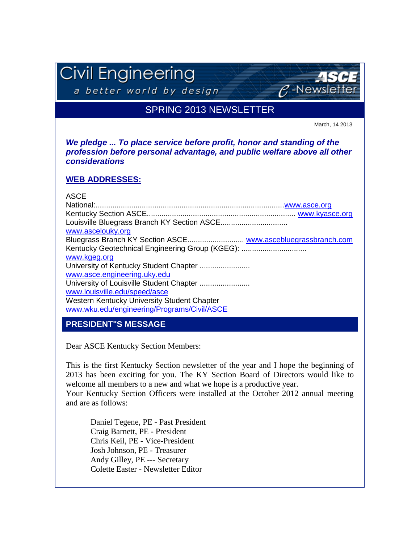# Civil Engineering

a better world by design

# SPRING 2013 NEWSLETTER

March, 14 2013

 $C$ -Newslet

*We pledge ... To place service before profit, honor and standing of the profession before personal advantage, and public welfare above all other considerations*

#### **WEB ADDRESSES:**

#### ASCE

| www.ascelouky.org                               |
|-------------------------------------------------|
|                                                 |
| Kentucky Geotechnical Engineering Group (KGEG): |
| www.kgeg.org                                    |
|                                                 |
| www.asce.engineering.uky.edu                    |
|                                                 |
| www.louisville.edu/speed/asce                   |
| Western Kentucky University Student Chapter     |
| www.wku.edu/engineering/Programs/Civil/ASCE     |
|                                                 |

**PRESIDENT"S MESSAGE**

Dear ASCE Kentucky Section Members:

This is the first Kentucky Section newsletter of the year and I hope the beginning of 2013 has been exciting for you. The KY Section Board of Directors would like to welcome all members to a new and what we hope is a productive year.

Your Kentucky Section Officers were installed at the October 2012 annual meeting and are as follows:

Daniel Tegene, PE - Past President Craig Barnett, PE - President Chris Keil, PE - Vice-President Josh Johnson, PE - Treasurer Andy Gilley, PE --- Secretary Colette Easter - Newsletter Editor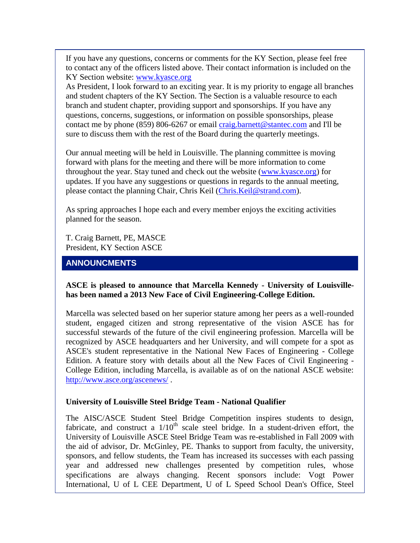If you have any questions, concerns or comments for the KY Section, please feel free to contact any of the officers listed above. Their contact information is included on the KY Section website: [www.kyasce.org](http://r20.rs6.net/tn.jsp?e=001eGc-ypAuwnOxrle7dXilE00peKHgBhwZLGKUiIHo8U1EQD0oYvmG4PHMjAQgmOXjOryjupdOLoiMPYet4M-XdH8TaEex0NILLwTqv5C95iMHL2DxYGb0m9zImbTof6hGeUz1CXhLnKhpsbfk5PyPW0CGtGDRus0xUFaaN4yqwzyAG_2SrzdVSdl_IDqoB2frPQ3Ex3ojX9eONSRNw_5B5Maz2tfkNz-nWf_yzs4Ztsm2CpOnHEO80yWTWOkz2JcjEZbeD7tHp0SrFSLcPuUsE8wsybXCnpWDoP7LuyYxndSQgrzUYkufT6T8yxEh0_W7X8PJ-L9RXXU9-Z2VRxYuFQF2M_jn0q6YggMdpke3OzY=)

As President, I look forward to an exciting year. It is my priority to engage all branches and student chapters of the KY Section. The Section is a valuable resource to each branch and student chapter, providing support and sponsorships. If you have any questions, concerns, suggestions, or information on possible sponsorships, please contact me by phone (859) 806-6267 or email [craig.barnett@stantec.com](http://r20.rs6.net/tn.jsp?e=001eGc-ypAuwnNZx7Hr-_XkA1Qy4BeVa1SAffDQ_6zYxS9ZXSe8zVCgh6RNSoD3m0U-iK2x0ah3aGHkvGxZSvOa9TY10XDLbFh4r-QcKvd-B-14k69A8yYSiRhWP3r88KdMUgcDb6Et3sFd9n42qS1d3ek7x9l9qT0qDjlysZ14JGNg6bOXFi_jo6chFhF_chi0ZrT0XhFKA6OkED_fB8DQEJheoaDJ_DDuuh4fB7aordRaTivBX_9eKJ1hEfgMODy8sFvf7oRSpqTKV7ZNaZGPNXR4OivdFb3iDvGkBwyXczLMt2nrFrcTPlN8RK0iWSbdWuvKSQS6MuX1sLLJWQWBCVnU57y2brhw2DpAbxP9mbyEiOE60tzygQ==) and I'll be sure to discuss them with the rest of the Board during the quarterly meetings.

Our annual meeting will be held in Louisville. The planning committee is moving forward with plans for the meeting and there will be more information to come throughout the year. Stay tuned and check out the website [\(www.kyasce.org\)](http://r20.rs6.net/tn.jsp?e=001eGc-ypAuwnOxrle7dXilE00peKHgBhwZLGKUiIHo8U1EQD0oYvmG4PHMjAQgmOXjOryjupdOLoiMPYet4M-XdH8TaEex0NILLwTqv5C95iMHL2DxYGb0m9zImbTof6hGeUz1CXhLnKhpsbfk5PyPW0CGtGDRus0xUFaaN4yqwzyAG_2SrzdVSdl_IDqoB2frPQ3Ex3ojX9eONSRNw_5B5Maz2tfkNz-nWf_yzs4Ztsm2CpOnHEO80yWTWOkz2JcjEZbeD7tHp0SrFSLcPuUsE8wsybXCnpWDoP7LuyYxndSQgrzUYkufT6T8yxEh0_W7X8PJ-L9RXXU9-Z2VRxYuFQF2M_jn0q6YggMdpke3OzY=) for updates. If you have any suggestions or questions in regards to the annual meeting, please contact the planning Chair, Chris Keil [\(Chris.Keil@strand.com\)](http://r20.rs6.net/tn.jsp?e=001eGc-ypAuwnOLgCm6D6R_GFMFitkNtr_BXyHDKFv8FVmqd-2Xp-EMK4q6JCGx48RGgYrCWzQcdpMhCNjKIHTPSWQSsbJJAd2PGui_TEfG9dVMK_LUmt03YyAdA8tQQ1PQmou1QB2Riyruz-zC4q7AOEmyaX07ZnD0q3V7-lkhOqksQpRRUm7N3h4hDzCTBiUec8kzCZXLgNcY-01EO129Chlpm_jKJ8YnBGEil2QFQ5-IUP4HWQRPBV8nKexIOAbeuN18MRi9fBRfJWLTycYohd746BM3veOHOhwO9wH_cOzwc_oR9HgmQNpvT79hAENm9xwJGD_vWTnAHyjw_tcmw6veayIJ0Eq_UAPlVY4F1U8=).

As spring approaches I hope each and every member enjoys the exciting activities planned for the season.

T. Craig Barnett, PE, MASCE President, KY Section ASCE

#### **ANNOUNCMENTS**

#### **ASCE is pleased to announce that Marcella Kennedy - University of Louisvillehas been named a 2013 New Face of Civil Engineering-College Edition.**

Marcella was selected based on her superior stature among her peers as a well-rounded student, engaged citizen and strong representative of the vision ASCE has for successful stewards of the future of the civil engineering profession. Marcella will be recognized by ASCE headquarters and her University, and will compete for a spot as ASCE's student representative in the National New Faces of Engineering - College Edition. A feature story with details about all the New Faces of Civil Engineering - College Edition, including Marcella, is available as of on the national ASCE website: [http://www.asce.org/ascenews/](http://r20.rs6.net/tn.jsp?e=001eGc-ypAuwnPheDCTebsPgyLJDJnu6PX5cOLervpzbRn-fIy9hiGb_LNq399i2Ayj0eyqG8CZDRxSNJCrcwlzYCiGYvnuDs4ZpdYobL1TOqaiwk9Ohror8S6Njjk-ZJIzVou480mE4fUVXZVdBb2zlUfYFZBJrPjieGrPd2XpcG0VLesBo4BO6Am9uEDC55a03XfEln3fx0AkQuwGgMNahagXMIwsj2tngLvB2ob00pq7GxoyJ37s9IFmWifdEe-AjgZ1omdxkKWtFX5TleT0HJ98zqm11DggjmumoB41TPbHI9fAS55W7IFhixkwO9lr3gKgMNRlbbCd8xZk8n9zG9q2R39iAHwmaLfNnmJgOifsqTcuGKeDQmMo_qgIWWqk) .

#### **University of Louisville Steel Bridge Team - National Qualifier**

The AISC/ASCE Student Steel Bridge Competition inspires students to design, fabricate, and construct a  $1/10<sup>th</sup>$  scale steel bridge. In a student-driven effort, the University of Louisville ASCE Steel Bridge Team was re-established in Fall 2009 with the aid of advisor, Dr. McGinley, PE. Thanks to support from faculty, the university, sponsors, and fellow students, the Team has increased its successes with each passing year and addressed new challenges presented by competition rules, whose specifications are always changing. Recent sponsors include: Vogt Power International, U of L CEE Department, U of L Speed School Dean's Office, Steel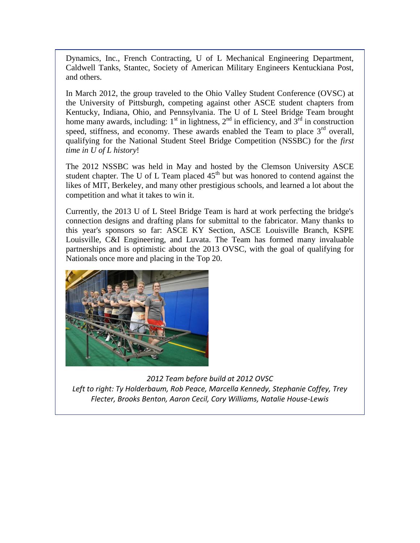Dynamics, Inc., French Contracting, U of L Mechanical Engineering Department, Caldwell Tanks, Stantec, Society of American Military Engineers Kentuckiana Post, and others.

In March 2012, the group traveled to the Ohio Valley Student Conference (OVSC) at the University of Pittsburgh, competing against other ASCE student chapters from Kentucky, Indiana, Ohio, and Pennsylvania. The U of L Steel Bridge Team brought home many awards, including:  $1<sup>st</sup>$  in lightness,  $2<sup>nd</sup>$  in efficiency, and  $3<sup>rd</sup>$  in construction speed, stiffness, and economy. These awards enabled the Team to place  $3<sup>rd</sup>$  overall, qualifying for the National Student Steel Bridge Competition (NSSBC) for the *first time in U of L history*!

The 2012 NSSBC was held in May and hosted by the Clemson University ASCE student chapter. The U of L Team placed  $45<sup>th</sup>$  but was honored to contend against the likes of MIT, Berkeley, and many other prestigious schools, and learned a lot about the competition and what it takes to win it.

Currently, the 2013 U of L Steel Bridge Team is hard at work perfecting the bridge's connection designs and drafting plans for submittal to the fabricator. Many thanks to this year's sponsors so far: ASCE KY Section, ASCE Louisville Branch, KSPE Louisville, C&I Engineering, and Luvata. The Team has formed many invaluable partnerships and is optimistic about the 2013 OVSC, with the goal of qualifying for Nationals once more and placing in the Top 20.



*2012 Team before build at 2012 OVSC Left to right: Ty Holderbaum, Rob Peace, Marcella Kennedy, Stephanie Coffey, Trey Flecter, Brooks Benton, Aaron Cecil, Cory Williams, Natalie House-Lewis*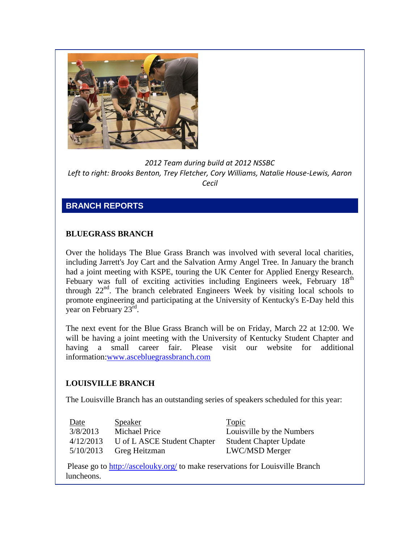

*2012 Team during build at 2012 NSSBC Left to right: Brooks Benton, Trey Fletcher, Cory Williams, Natalie House-Lewis, Aaron Cecil*

# **BRANCH REPORTS**

# **BLUEGRASS BRANCH**

Over the holidays The Blue Grass Branch was involved with several local charities, including Jarrett's Joy Cart and the Salvation Army Angel Tree. In January the branch had a joint meeting with KSPE, touring the UK Center for Applied Energy Research. Febuary was full of exciting activities including Engineers week, February 18<sup>th</sup> through  $22<sup>nd</sup>$ . The branch celebrated Engineers Week by visiting local schools to promote engineering and participating at the University of Kentucky's E-Day held this year on February  $23^{\text{rd}}$ .

The next event for the Blue Grass Branch will be on Friday, March 22 at 12:00. We will be having a joint meeting with the University of Kentucky Student Chapter and having a small career fair. Please visit our website for additional information[:www.ascebluegrassbranch.com](http://r20.rs6.net/tn.jsp?e=001eGc-ypAuwnP393aRyycpiFsGSoFthy6ZYErX-8NjDywHLjsJyuIjQl9u0f_zmlbLNyGPD2Nh1MNf8nrg9hTM6F6C_o_7LdiQP31rMi7EnY2NxKPTNb4wNyeX1W0yrKNfmcoBLoreRtq3PXPpU1nrbw2J5gvioUsI6FuLTzvkt-__xHdgClu5fmTCyeBNr_3iOVYKYnY-j6HAiQ9C6qFwkarIahiF0fP7xMhNIdvx_6NMVwdKHV1tZf0BEdefNmqJ0QRf9-FoQfOJwBLHwxTI1X-zap7WshJR9_5W2mTri11uPH13Ckas1u-TfYc6FzMj9mopSakDiK293gJ4HJxtBVOU1iIrw1FC8BFD2_M1EeI7UXUlFuNgQA==)

### **LOUISVILLE BRANCH**

The Louisville Branch has an outstanding series of speakers scheduled for this year:

| Date      | <b>Speaker</b>              | <u>Topic</u>                  |
|-----------|-----------------------------|-------------------------------|
| 3/8/2013  | <b>Michael Price</b>        | Louisville by the Numbers     |
| 4/12/2013 | U of L ASCE Student Chapter | <b>Student Chapter Update</b> |
| 5/10/2013 | Greg Heitzman               | <b>LWC/MSD Merger</b>         |
|           |                             |                               |

Please go to [http://ascelouky.org/](http://r20.rs6.net/tn.jsp?e=001eGc-ypAuwnM3OwPmD9rgotnTCWOGgvk4Mb6MEDav0MYeCB0Gft6gCkBONVw-0h5_fccUZOsjQ-sWJyHBzDwN8cSq38h-_ZG9ZeJoZo9xtFs=) to make reservations for Louisville Branch luncheons.